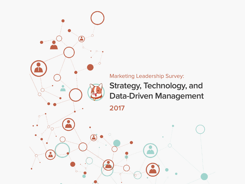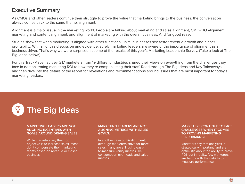### **Executive Summary**

As CMOs and other leaders continue their struggle to prove the value that marketing brings to the business, the conversation always comes back to the same theme: alignment.

Alignment is a major issue in the marketing world. People are talking about marketing and sales alignment, CMO-CIO alignment, marketing and content alignment, and alignment of marketing with the overall business. And for good reason.

Studies show that when marketing is aligned with other functional units, businesses see faster revenue growth and higher profitability. With all of this discussion and evidence, surely marketing leaders are aware of the importance of alignment as a business driver. That's why we were surprised at some of the results of this year's Marketing Leadership Survey. (Take a look at The Big Ideas below.)

For this TrackMaven survey, 217 marketers from 19 different industries shared their views on everything from the challenges they face in demonstrating marketing ROI to how they're compensating their staff. Read through The Big Ideas and Key Takeaways, and then dive into the details of the report for revelations and recommendations around issues that are most important to today's marketing leaders.

# **The Big Ideas**

#### **MARKETING LEADERS ARE NOT ALIGNING INCENTIVES WITH GOALS AROUND DRIVING SALES.**

While marketers say their top objective is to increase sales, most don't compensate their marketing teams based on revenue or closed business.

#### **MARKETING LEADERS ARE NOT ALIGNING METRICS WITH SALES GOALS.**

In another case of misalignment, although marketers strive for more sales, many are still using easyto-measure vanity metrics like consumption over leads and sales metrics.

#### **MARKETERS CONTINUE TO FACE CHALLENGES WHEN IT COMES TO PROVING MARKETING PERFORMANCE.**

Marketers say that analytics is strategically important, and are optimistic about the ability to prove ROI, but in reality, few marketers are happy with their ability to measure performance.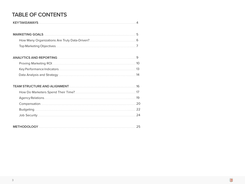### **TABLE OF CONTENTS**

| <b>KEYTAKEAWAYS</b> |     |
|---------------------|-----|
|                     | 5   |
|                     | 6   |
|                     | 7   |
|                     | 9   |
|                     | 10  |
|                     | 13  |
|                     | 14  |
|                     |     |
|                     | .16 |
|                     | .17 |
|                     | .19 |
|                     | .20 |
|                     | .22 |
|                     | 24  |
|                     |     |
|                     | 25  |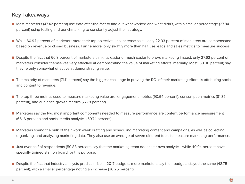### **Key Takeaways**

- Most marketers (47.42 percent) use data after-the-fact to find out what worked and what didn't, with a smaller percentage (27.84 percent) using testing and benchmarking to constantly adjust their strategy.
- While 60.94 percent of marketers state their top objective is to increase sales, only 22.93 percent of marketers are compensated based on revenue or closed business. Furthermore, only slightly more than half use leads and sales metrics to measure success.
- Despite the fact that 66.3 percent of marketers think it's easier or much easier to prove marketing impact, only 27.62 percent of marketers consider themselves very effective at demonstrating the value of marketing efforts internally. Most (69.06 percent) say they're only somewhat effective at demonstrating value.
- The majority of marketers (71.11 percent) say the biggest challenge in proving the ROI of their marketing efforts is attributing social and content to revenue.
- The top three metrics used to measure marketing value are: engagement metrics (90.64 percent), consumption metrics (81.87 percent), and audience growth metrics (77.78 percent).
- Marketers say the two most important components needed to measure performance are content performance measurement (65.16 percent) and social media analytics (59.74 percent).
- Marketers spend the bulk of their work week drafting and scheduling marketing content and campaigns, as well as collecting, organizing, and analyzing marketing data. They also use an average of seven different tools to measure marketing performance.
- Just over half of respondents (50.88 percent) say that the marketing team does their own analytics, while 40.94 percent have specially trained staff on board for this purpose.
- Despite the fact that industry analysts predict a rise in 2017 budgets, more marketers say their budgets stayed the same (48.75 percent), with a smaller percentage noting an increase (36.25 percent).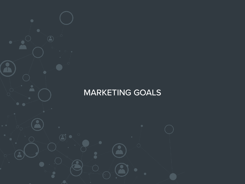# MARKETING GOALS

G

 $\bigcirc$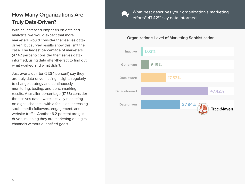## How Many Organizations Are **Exercise 19th Are and Are and Secrets** 27.42% say data-informed **Truly Data-Driven?**

With an increased emphasis on data and analytics, we would expect that more marketers would consider themselves datadriven, but survey results show this isn't the case. The largest percentage of marketers (47.42 percent) consider themselves datainformed, using data after-the-fact to find out what worked and what didn't.

Just over a quarter (27.84 percent) say they are truly data-driven, using insights regularly to change strategy and continuously monitoring, testing, and benchmarking results. A smaller percentage (17.53) consider themselves data-aware, actively marketing on digital channels with a focus on increasing social media followers, engagement, and website traffic. Another 6.2 percent are gutdriven, meaning they are marketing on digital channels without quantified goals.



What best describes your organization's marketing

### **Organization's Level of Marketing Sophistication**

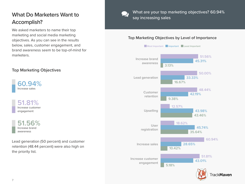## **What Do Marketers Want to Accomplish?**

We asked marketers to name their top marketing and social media marketing objectives. As you can see in the results below, sales, customer engagement, and brand awareness seem to be top-of-mind for marketers.

### **Top Marketing Objectives**

**60.94%** Increase sales

**51.81%** Increase customer engagement

**51.56%** Increase brand awareness

Lead generation (50 percent) and customer retention (48.44 percent) were also high on the priority list.



What are your top marketing objectives? 60.94% say increasing sales

#### **Top Marketing Objectives by Level of Importance**

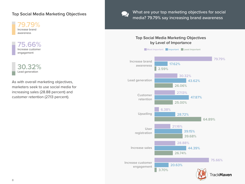### **Top Social Media Marketing Objectives**

**79.79%** Increase brand awareness

**75.66%** Increase customer engagement

**30.32%** Lead generation

As with overall marketing objectives, marketers seek to use social media for increasing sales (28.88 percent) and customer retention (27.13 percent).



What are your top marketing objectives for social media? 79.79% say increasing brand awareness

#### **Top Social Media Marketing Objectives by Level of Importance**

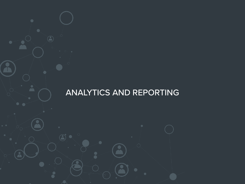# ANALYTICS AND REPORTING

 $\mathbf{C}$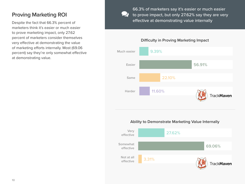### **Proving Marketing ROI**

Despite the fact that 66.3% percent of marketers think it's easier or much easier to prove marketing impact, only 27.62 percent of marketers consider themselves very effective at demonstrating the value of marketing efforts internally. Most (69.06 percent) say they're only somewhat effective at demonstrating value.

to prove impact, but only 27.62% say they are very 66.3% of marketers say it's easier or much easier effective at demonstrating value internally

#### **Difficulty in Proving Marketing Impact**



#### **Ability to Demonstrate Marketing Value Internally**

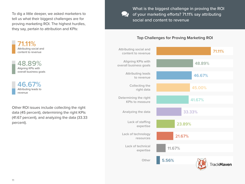To dig a little deeper, we asked marketers to tell us what their biggest challenges are for proving marketing ROI. The highest hurdles, they say, pertain to attribution and KPIs:





What is the biggest challenge in proving the ROI of your marketing efforts? 71.11% say attributing social and content to revenue

percent).

revenue

**71.11%**

**11**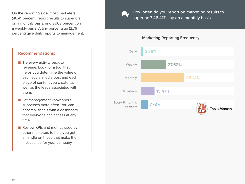On the reporting side, most marketers (46.41 percent) report results to superiors on a monthly basis, and 27.62 percent on a weekly basis. A tiny percentage (2.76 percent) give daily reports to management.

### **Recommendations:**

- Tie every activity back to revenue. Look for a tool that helps you determine the value of each social media post and each piece of content you create, as well as the leads associated with them.
- Let management know about successes more often. You can accomplish this with a dashboard that everyone can access at any time.
- Review KPIs and metrics used by other marketers to help you get a handle on those that make the most sense for your company.



How often do you report on marketing results to superiors? 46.41% say on a monthly basis

#### **Marketing Reporting Frequency**

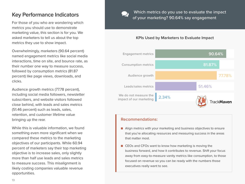For those of you who are wondering which metrics you should use to demonstrate marketing value, this section is for you. We asked marketers to tell us about the top metrics they use to show impact.

Overwhelmingly, marketers (90.64 percent) named engagement metrics like social media interactions, time on site, and bounce rate, as their number one way to measure success, followed by consumption metrics (81.87 percent) like page views, downloads, and clicks.

Audience growth metrics (77.78 percent), including social media followers, newsletter subscribers, and website visitors followed close behind, with leads and sales metrics (51.46 percent) such as leads, sales, retention, and customer lifetime value bringing up the rear.

While this is valuable information, we found something even more significant when we compared these metrics to the marketing objectives of our participants. While 60.94 percent of marketers say their top marketing objective is to increase sales, only slightly more than half use leads and sales metrics to measure success. This misalignment is likely costing companies valuable revenue opportunities.



 Which metrics do you use to evaluate the impact Key Performance Indicators **Separate Separate Separate Separate Indicators** of your marketing? 90.64% say engagement

#### **KPIs Used by Marketers to Evaluate Impact**



#### **Recommendations:**

- Align metrics with your marketing and business objectives to ensure that you're allocating resources and measuring success in the areas that matter most.
- CEOs and CFOs want to know how marketing is moving the business forward, and how it contributes to revenue. Shift your focus away from easy-to-measure vanity metrics like consumption, to those focused on revenue so you can be ready with the numbers those executives really want to see.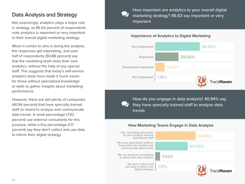### **Data Analysis and Strategy**

Not surprisingly, analytics plays a major role in strategy, as 86.63 percent of respondents note analytics is important or very important to their overall digital marketing strategy.

When it comes to who is doing the analysis, the responses get interesting. Just over half of respondents (50.88 percent) say that the marketing team does their own analytics, without the help of any special staff. This suggests that today's self-service analytics tools have made it much easier for those without specialized knowledge or skills to gather insights about marketing performance.

However, there are still plenty of companies (40.94 percent) that have specially trained staff on board to analyze and communicate data trends. A small percentage (7.02 percent) use external consultants for this purpose, while a tiny percentage (1.17 percent) say they don't collect and use data to inform their digital strategy.

 $\overline{\mathbf{Q}}$ 

**We have specialized staff on board who can analyze and** 

**We use external consultants** 

**We don't collect and use data to inform our** 

**digital strategy**

**to assist with data analysis 7.02%**

How important are analytics to your overall digital marketing strategy? 86.63 say important or very important

#### **Importance of Analytics to Digital Marketing**



**communicate data trends 40.94%**

**1.17%**

Track**Maven** 

**14**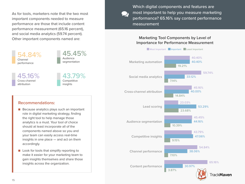As for tools, marketers note that the two most important components needed to measure performance are those that include content performance measurement (65.16 percent), and social media analytics (59.74 percent). Other important components named are:

**54.84%** Channel performance

**45.16%** Cross-channel attribution



**45.45%**

**43.79% Competitive** insights

#### **Recommendations:**

- Because analytics plays such an important role in digital marketing strategy, finding the right tool to help manage those analytics is a must. Your tool of choice should at least incorporate all of the components named above so you and your team can easily access real-time insights in one place — and act on them accordingly.
- Look for tools that simplify reporting to make it easier for your marketing team to gain insights themselves and share those insights across the organization.

Which digital components and features are most important to help you measure marketing performance? 65.16% say content performance measurement

 $\overline{\mathbf{Q}}$ 

#### **Marketing Tool Components by Level of Importance for Performance Measurement**

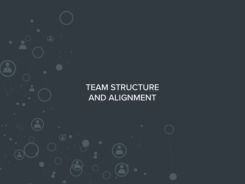# TEAM STRUCTURE AND ALIGNMENT

 $\bullet$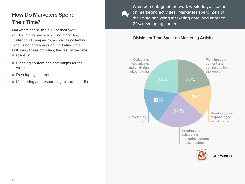## **How Do Marketers Spend Their Time?**

Marketers spend the bulk of their work week drafting and scheduling marketing content and campaigns, as well as collecting, organizing, and analyzing marketing data. Following these activities, the rest of the time is spent on:

- Planning content and campaigns for the week
- Developing content
- Monitoring and responding to social media



What percentage of the work week do you spend on marketing activities? Marketers spend 24% of their time analyzing marketing data, and another 24% developing content

### **Division of Time Spent on Marketing Activities**

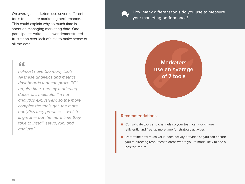On average, marketers use seven different tools to measure marketing performance. This could explain why so much time is spent on managing marketing data. One participant's write-in answer demonstrated frustration over lack of time to make sense of all the data.

### **"**

*I almost have too many tools. All these analytics and metrics dashboards that can prove ROI require time, and my marketing duties are multifold. I'm not analytics exclusively, so the more complex the tools get, the more analytics they produce — which is great — but the more time they take to install, setup, run, and analyze."*



How many different tools do you use to measure your marketing performance?



#### **Recommendations:**

- Consolidate tools and channels so your team can work more efficiently and free up more time for strategic activities.
- Determine how much value each activity provides so you can ensure you're directing resources to areas where you're more likely to see a positive return.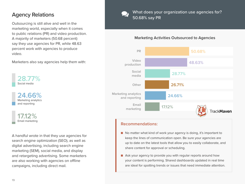## Agency Relations **Solutions** and the state of the state of the state of the state of the state of the state of the state of the state of the state of the state of the state of the state of the state of the state of the sta

Outsourcing is still alive and well in the marketing world, especially when it comes to public relations (PR) and video production. A majority of marketers (50.68 percent) say they use agencies for PR, while 48.63 percent work with agencies to produce video.

Marketers also say agencies help them with:

**28.77%** Social media

**24.66%** Marketing analytics and reporting

**17.12%** Email marketing

A handful wrote in that they use agencies for search engine optimization (SEO), as well as digital advertising, including search engine marketing (SEM), social media, and display and retargeting advertising. Some marketers are also working with agencies on offline campaigns, including direct mail.



What does your organization use agencies for?

#### **Marketing Activities Outsourced to Agencies**



#### **Recommendations:**

- No matter what kind of work your agency is doing, it's important to keep the lines of communication open. Be sure your agencies are up to date on the latest tools that allow you to easily collaborate, and share content for approval or scheduling.
- Ask your agency to provide you with regular reports around how your content is performing. Shared dashboards updated in real time are ideal for spotting trends or issues that need immediate attention.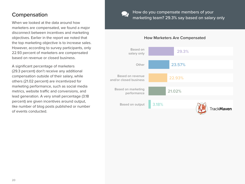When we looked at the data around how marketers are compensated, we found a major disconnect between incentives and marketing objectives. Earlier in the report we noted that the top marketing objective is to increase sales. However, according to survey participants, only 22.93 percent of marketers are compensated based on revenue or closed business.

A significant percentage of marketers (29.3 percent) don't receive any additional compensation outside of their salary, while others (21.02 percent) are incentivized for marketing performance, such as social media metrics, website traffic and conversions, and lead generation. A very small percentage (3.18 percent) are given incentives around output, like number of blog posts published or number of events conducted.



How do you compensate members of your **Compensation**<br>Marketing team? 29.3% say based on salary only marketing team? 29.3% say based on salary only

#### **How Marketers Are Compensated**

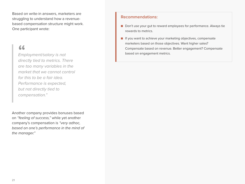Based on write-in answers, marketers are struggling to understand how a revenuebased compensation structure might work. One participant wrote:

## **"**

*Employment/salary is not directly tied to metrics. There are too many variables in the market that we cannot control for this to be a fair idea. Performance is expected, but not directly tied to compensation."*

Another company provides bonuses based on *"feeling of success,"* while yet another company's compensation is *"very adhoc, based on one's performance in the mind of the manager."* 

#### **Recommendations:**

- Don't use your gut to reward employees for performance. Always tie rewards to metrics.
- If you want to achieve your marketing objectives, compensate marketers based on those objectives. Want higher sales? Compensate based on revenue. Better engagement? Compensate based on engagement metrics.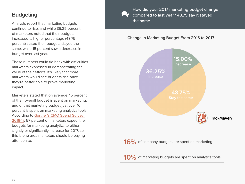### **Budgeting**

Analysts report that marketing budgets continue to rise, and while 36.25 percent of marketers noted that their budgets increased, a higher percentage (48.75 percent) stated their budgets stayed the same, while 15 percent saw a decrease in budget over last year.

These numbers could tie back with difficulties marketers expressed in demonstrating the value of their efforts. It's likely that more marketers would see budgets rise once they're better able to prove marketing impact.

Marketers stated that on average, 16 percent of their overall budget is spent on marketing, and of that marketing budget just over 10 percent is spent on marketing analytics tools. According to Gartner's CMO Spend Survey 2016-17, 57 percent of marketers expect their budgets for marketing analytics to either slightly or significantly increase for 2017, so this is one area marketers should be paying attention to.



How did your 2017 marketing budget change compared to last year? 48.75 say it stayed the same

#### **Change in Marketing Budget From 2016 to 2017**



**16%** of company budgets are spent on marketing

**10%** of marketing budgets are spent on analytics tools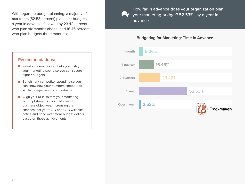With regard to budget planning, a majority of marketers (52.53 percent) plan their budgets a year in advance, followed by 23.42 percent who plan six months ahead, and 16.46 percent who plan budgets three months out.



 your marketing budget? 52.53% say a year in How far in advance does your organization plan advance

#### **Budgeting for Marketing: Time in Advance**



#### **Recommendations:**

- Invest in resources that help you justify your marketing spend so you can secure higher budgets.
- Benchmark competitor spending so you can show how your numbers compare to similar companies in your industry.
- Align your KPIs so that your marketing accomplishments also fulfill overall business objectives, increasing the chances that your CEO and CFO will take notice and hand over more budget dollars based on those achievements.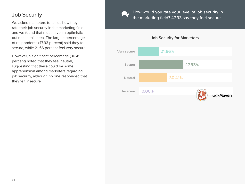We asked marketers to tell us how they rate their job security in the marketing field, and we found that most have an optimistic outlook in this area. The largest percentage of respondents (47.93 percent) said they feel secure, while 21.66 percent feel very secure.

However, a significant percentage (30.41 percent) noted that they feel neutral, suggesting that there could be some apprehension among marketers regarding job security, although no one responded that they felt insecure.



How would you rate your level of job security in Job Security **Security The marketing field?** 47.93 say they feel secure



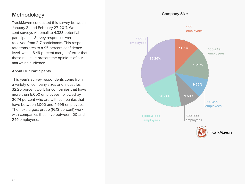### **Methodology**

TrackMaven conducted this survey between January 31 and February 27, 2017. We sent surveys via email to 4,383 potential participants. Survey responses were received from 217 participants. This response rate translates to a 95 percent confidence level, with a 6.49 percent margin of error that these results represent the opinions of our marketing audience.

#### **About Our Participants**

This year's survey respondents come from a variety of company sizes and industries: 32.26 percent work for companies that have more than 5,000 employees, followed by 20.74 percent who are with companies that have between 1,000 and 4,999 employees. The next largest group (16.13 percent) work with companies that have between 100 and 249 employees.

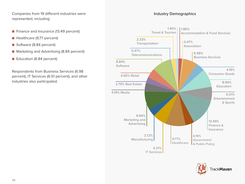Companies from 19 different industries were represented, including:

- Finance and Insurance (13.49 percent)
- Healthcare (9.77 percent)
- Software (8.84 percent)
- Marketing and Advertising (8.84 percent)
- Education (8.84 percent)

Respondents from Business Services (6.98 percent), IT Services (6.51 percent), and other industries also participated.

#### **Industry Demographics**



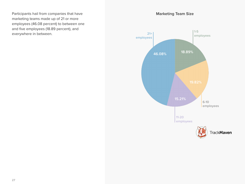Participants hail from companies that have marketing teams made up of 21 or more employees (46.08 percent) to between one and five employees (18.89 percent), and everywhere in between. **21+**

**Marketing Team Size**